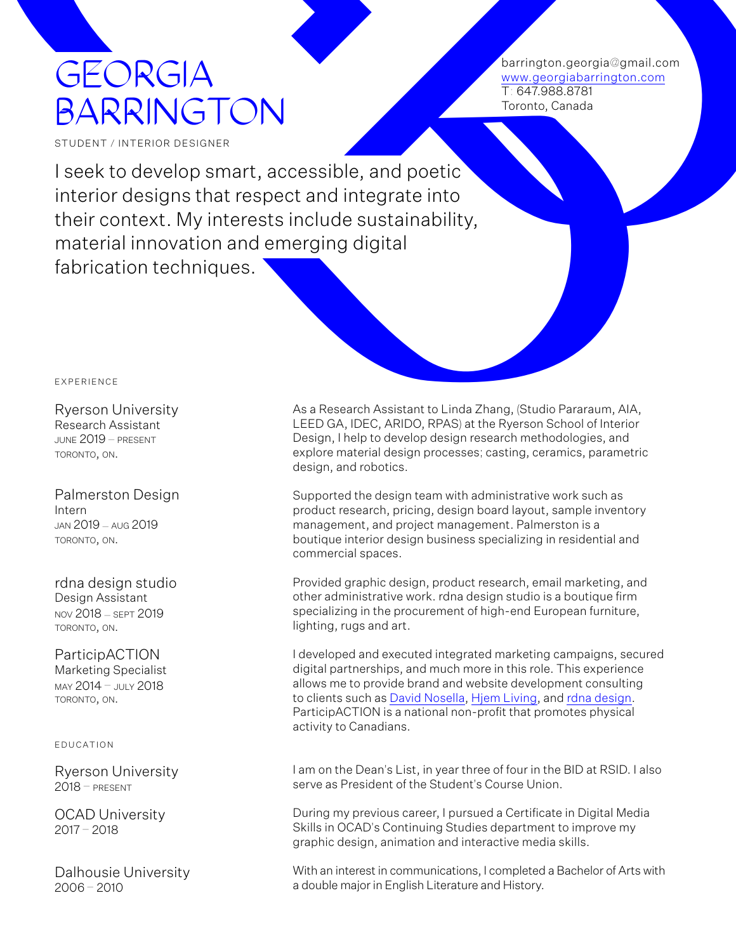## GEORGIA BARRINGTON

barrington.georgia@gmail.com www.georgiabarrington.com T: 647.988.8781 Toronto, Canada

STUDENT / INTERIOR DESIGNEI

GEORGIA<br>
BARRINGTON<br>
BARRINGTON<br>
SUDENTITURE<br>
SUDENTITURE<br>
SUDENTITURE<br>
SUDENTITURE<br>
SUDENTITURE<br>
SUDENTITURE<br>
SUDENTITURE<br>
SUDENTITURE<br>
SUDENTITURE<br>
TRIFFICTOR<br>
TRIFFICTOR<br>
TRIFFICTOR<br>
Regard And Control and Control and C I seek to develop smart, accessible, and poetic interior designs that respect and integrate into their context. My interests include sustainability, material innovation and emerging digital fabrication techniques.

Ryerson University Research Assistant june 2019 – present toronto, on.

Palmerston Design Intern jan 2019 – aug 2019 toronto, on.

rdna design studio Design Assistant nov 2018 – sept 2019 toronto, on.

ParticipACTION Marketing Specialist may 2014 – july 2018 toronto, on.

## e d u c at i o n

Ryerson University  $2018 - PRFSENT$ 

OCAD University 2017 – 2018

Dalhousie University 2006 – 2010

As a Research Assistant to Linda Zhang, (Studio Pararaum, AIA, LEED GA, IDEC, ARIDO, RPAS) at the Ryerson School of Interior Design, I help to develop design research methodologies, and explore material design processes; casting, ceramics, parametric design, and robotics.

Supported the design team with administrative work such as product research, pricing, design board layout, sample inventory management, and project management. Palmerston is a boutique interior design business specializing in residential and commercial spaces.

Provided graphic design, product research, email marketing, and other administrative work. rdna design studio is a boutique firm specializing in the procurement of high-end European furniture, lighting, rugs and art.

I developed and executed integrated marketing campaigns, secured digital partnerships, and much more in this role. This experience allows me to provide brand and website development consulting to clients such as [David Nosella,](https://www.davidnosella.com/) [Hjem Living](https://www.hjemliving.com/), and [rdna design.](https://www.rdnastudio.com/) ParticipACTION is a national non-profit that promotes physical activity to Canadians.

I am on the Dean's List, in year three of four in the BID at RSID. I also serve as President of the Student's Course Union.

During my previous career, I pursued a Certificate in Digital Media Skills in OCAD's Continuing Studies department to improve my graphic design, animation and interactive media skills.

With an interest in communications, I completed a Bachelor of Arts with a double major in English Literature and History.